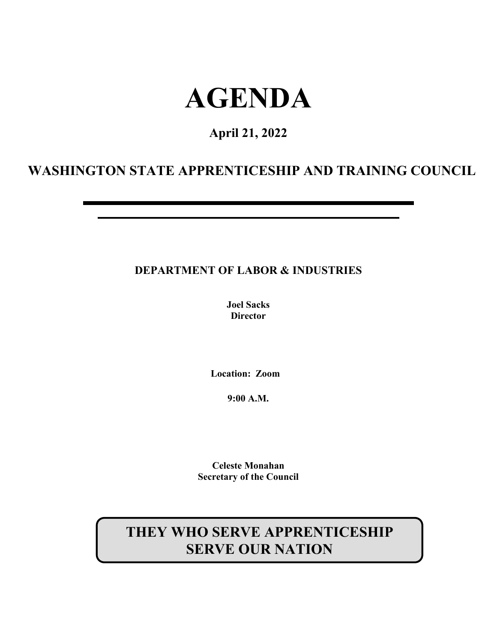# **AGENDA**

# **April 21, 2022**

# **WASHINGTON STATE APPRENTICESHIP AND TRAINING COUNCIL**

# **DEPARTMENT OF LABOR & INDUSTRIES**

**Joel Sacks Director**

**Location: Zoom**

**9:00 A.M.**

**Celeste Monahan Secretary of the Council**

# **THEY WHO SERVE APPRENTICESHIP SERVE OUR NATION**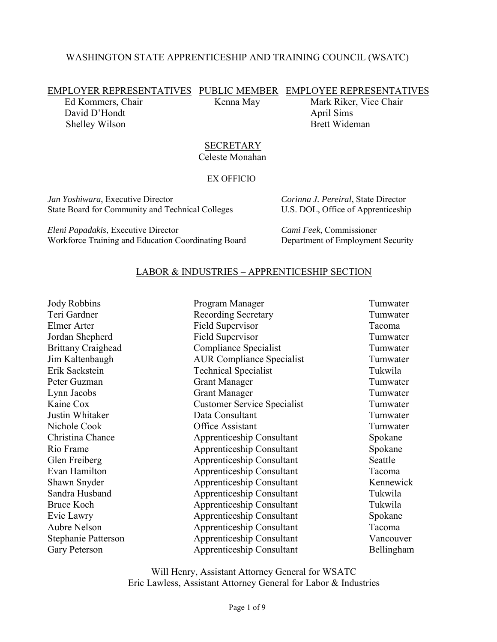#### WASHINGTON STATE APPRENTICESHIP AND TRAINING COUNCIL (WSATC)

EMPLOYER REPRESENTATIVES PUBLIC MEMBER EMPLOYEE REPRESENTATIVES

David D'Hondt April Sims Shelley Wilson Brett Wideman

Ed Kommers, Chair Kenna May Mark Riker, Vice Chair

#### **SECRETARY** Celeste Monahan

#### EX OFFICIO

*Jan Yoshiwara*, Executive Director *Corinna J. Pereiral*, State Director State Board for Community and Technical Colleges U.S. DOL, Office of Apprenticeship

*Eleni Papadakis*, Executive Director *Cami Feek*, Commissioner Workforce Training and Education Coordinating Board Department of Employment Security

#### LABOR & INDUSTRIES – APPRENTICESHIP SECTION

| <b>Jody Robbins</b>       | Program Manager                    | Tumwater   |
|---------------------------|------------------------------------|------------|
| Teri Gardner              | <b>Recording Secretary</b>         | Tumwater   |
| Elmer Arter               | Field Supervisor                   | Tacoma     |
| Jordan Shepherd           | Field Supervisor                   | Tumwater   |
| <b>Brittany Craighead</b> | Compliance Specialist              | Tumwater   |
| Jim Kaltenbaugh           | <b>AUR Compliance Specialist</b>   | Tumwater   |
| Erik Sackstein            | <b>Technical Specialist</b>        | Tukwila    |
| Peter Guzman              | <b>Grant Manager</b>               | Tumwater   |
| Lynn Jacobs               | <b>Grant Manager</b>               | Tumwater   |
| Kaine Cox                 | <b>Customer Service Specialist</b> | Tumwater   |
| Justin Whitaker           | Data Consultant                    | Tumwater   |
| Nichole Cook              | Office Assistant                   | Tumwater   |
| Christina Chance          | Apprenticeship Consultant          | Spokane    |
| Rio Frame                 | Apprenticeship Consultant          | Spokane    |
| Glen Freiberg             | Apprenticeship Consultant          | Seattle    |
| Evan Hamilton             | <b>Apprenticeship Consultant</b>   | Tacoma     |
| Shawn Snyder              | Apprenticeship Consultant          | Kennewick  |
| Sandra Husband            | Apprenticeship Consultant          | Tukwila    |
| <b>Bruce Koch</b>         | Apprenticeship Consultant          | Tukwila    |
| Evie Lawry                | <b>Apprenticeship Consultant</b>   | Spokane    |
| <b>Aubre Nelson</b>       | Apprenticeship Consultant          | Tacoma     |
| Stephanie Patterson       | <b>Apprenticeship Consultant</b>   | Vancouver  |
| Gary Peterson             | Apprenticeship Consultant          | Bellingham |

Will Henry, Assistant Attorney General for WSATC Eric Lawless, Assistant Attorney General for Labor & Industries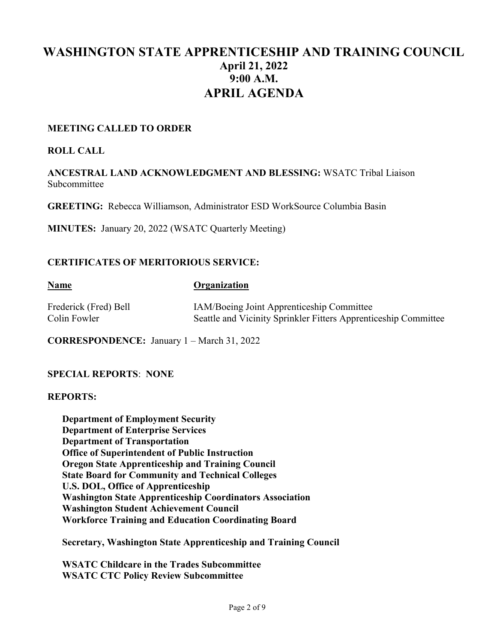# **WASHINGTON STATE APPRENTICESHIP AND TRAINING COUNCIL April 21, 2022 9:00 A.M. APRIL AGENDA**

#### **MEETING CALLED TO ORDER**

#### **ROLL CALL**

**ANCESTRAL LAND ACKNOWLEDGMENT AND BLESSING:** WSATC Tribal Liaison Subcommittee

**GREETING:** Rebecca Williamson, Administrator ESD WorkSource Columbia Basin

**MINUTES:** January 20, 2022 (WSATC Quarterly Meeting)

#### **CERTIFICATES OF MERITORIOUS SERVICE:**

#### **Name Organization**

| Frederick (Fred) Bell |  |
|-----------------------|--|
| Colin Fowler          |  |

IAM/Boeing Joint Apprenticeship Committee Seattle and Vicinity Sprinkler Fitters Apprenticeship Committee

**CORRESPONDENCE:** January 1 – March 31, 2022

#### **SPECIAL REPORTS**: **NONE**

#### **REPORTS:**

**Department of Employment Security Department of Enterprise Services Department of Transportation Office of Superintendent of Public Instruction Oregon State Apprenticeship and Training Council State Board for Community and Technical Colleges U.S. DOL, Office of Apprenticeship Washington State Apprenticeship Coordinators Association Washington Student Achievement Council Workforce Training and Education Coordinating Board**

**Secretary, Washington State Apprenticeship and Training Council**

**WSATC Childcare in the Trades Subcommittee WSATC CTC Policy Review Subcommittee**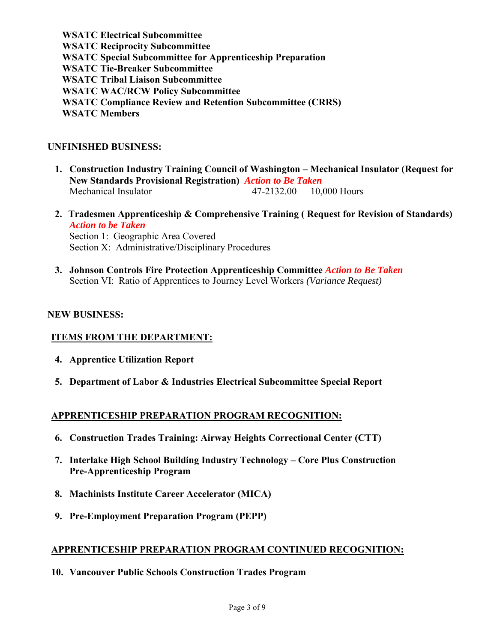**WSATC Electrical Subcommittee WSATC Reciprocity Subcommittee WSATC Special Subcommittee for Apprenticeship Preparation WSATC Tie-Breaker Subcommittee WSATC Tribal Liaison Subcommittee WSATC WAC/RCW Policy Subcommittee WSATC Compliance Review and Retention Subcommittee (CRRS) WSATC Members** 

#### **UNFINISHED BUSINESS:**

- **1. Construction Industry Training Council of Washington – Mechanical Insulator (Request for New Standards Provisional Registration)** *Action to Be Taken* Mechanical Insulator 47-2132.00 10,000 Hours
- **2. Tradesmen Apprenticeship & Comprehensive Training ( Request for Revision of Standards)**  *Action to be Taken* Section 1: Geographic Area Covered Section X: Administrative/Disciplinary Procedures
- **3. Johnson Controls Fire Protection Apprenticeship Committee** *Action to Be Taken* Section VI: Ratio of Apprentices to Journey Level Workers *(Variance Request)*

#### **NEW BUSINESS:**

#### **ITEMS FROM THE DEPARTMENT:**

- **4. Apprentice Utilization Report**
- **5. Department of Labor & Industries Electrical Subcommittee Special Report**

#### **APPRENTICESHIP PREPARATION PROGRAM RECOGNITION:**

- **6. Construction Trades Training: Airway Heights Correctional Center (CTT)**
- **7. Interlake High School Building Industry Technology – Core Plus Construction Pre-Apprenticeship Program**
- **8. Machinists Institute Career Accelerator (MICA)**
- **9. Pre-Employment Preparation Program (PEPP)**

#### **APPRENTICESHIP PREPARATION PROGRAM CONTINUED RECOGNITION:**

**10. Vancouver Public Schools Construction Trades Program**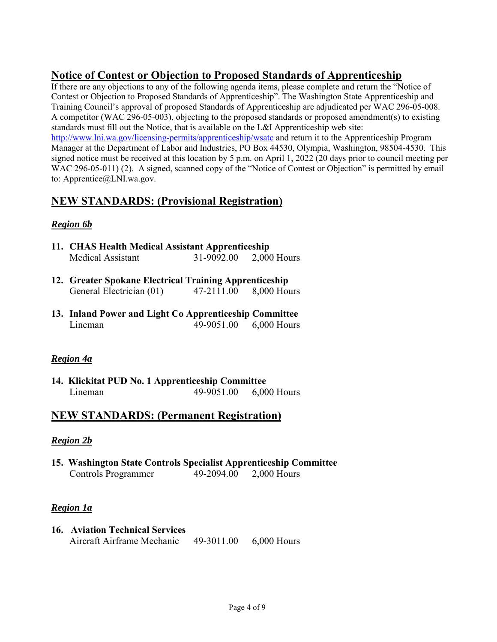# **Notice of Contest or Objection to Proposed Standards of Apprenticeship**

If there are any objections to any of the following agenda items, please complete and return the "Notice of Contest or Objection to Proposed Standards of Apprenticeship". The Washington State Apprenticeship and Training Council's approval of proposed Standards of Apprenticeship are adjudicated per WAC 296-05-008. A competitor (WAC 296-05-003), objecting to the proposed standards or proposed amendment(s) to existing standards must fill out the Notice, that is available on the L&I Apprenticeship web site: <http://www.lni.wa.gov/licensing-permits/apprenticeship/wsatc> and return it to the Apprenticeship Program Manager at the Department of Labor and Industries, PO Box 44530, Olympia, Washington, 98504-4530. This signed notice must be received at this location by 5 p.m. on April 1, 2022 (20 days prior to council meeting per WAC 296-05-011) (2). A signed, scanned copy of the "Notice of Contest or Objection" is permitted by email

to: [Apprentice@LNI.wa.gov.](mailto:Apprentice@LNI.wa.gov)

# **NEW STANDARDS: (Provisional Registration)**

## *Region 6b*

- **11. CHAS Health Medical Assistant Apprenticeship** Medical Assistant 31-9092.00 2,000 Hours
- **12. Greater Spokane Electrical Training Apprenticeship** General Electrician (01) 47-2111.00 8,000 Hours
- **13. Inland Power and Light Co Apprenticeship Committee** Lineman 49-9051.00 6,000 Hours

## *Region 4a*

**14. Klickitat PUD No. 1 Apprenticeship Committee** Lineman 49-9051.00 6,000 Hours

# **NEW STANDARDS: (Permanent Registration)**

#### *Region 2b*

**15. Washington State Controls Specialist Apprenticeship Committee** Controls Programmer 49-2094.00 2,000 Hours

## *Region 1a*

**16. Aviation Technical Services** Aircraft Airframe Mechanic 49-3011.00 6,000 Hours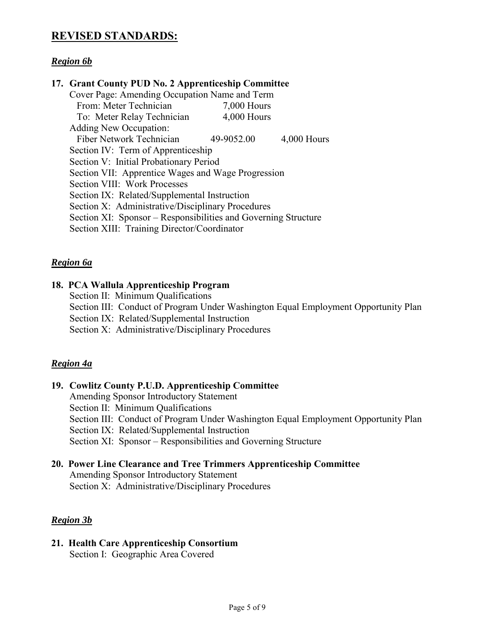# **REVISED STANDARDS:**

#### *Region 6b*

#### **17. Grant County PUD No. 2 Apprenticeship Committee**

| Cover Page: Amending Occupation Name and Term                  |               |             |
|----------------------------------------------------------------|---------------|-------------|
| From: Meter Technician                                         | $7,000$ Hours |             |
| To: Meter Relay Technician                                     | 4,000 Hours   |             |
| Adding New Occupation:                                         |               |             |
| Fiber Network Technician                                       | 49-9052.00    | 4,000 Hours |
| Section IV: Term of Apprenticeship                             |               |             |
| Section V: Initial Probationary Period                         |               |             |
| Section VII: Apprentice Wages and Wage Progression             |               |             |
| Section VIII: Work Processes                                   |               |             |
| Section IX: Related/Supplemental Instruction                   |               |             |
| Section X: Administrative/Disciplinary Procedures              |               |             |
| Section XI: Sponsor – Responsibilities and Governing Structure |               |             |
| Section XIII: Training Director/Coordinator                    |               |             |

#### *Region 6a*

#### **18. PCA Wallula Apprenticeship Program**

- Section II: Minimum Qualifications
- Section III: Conduct of Program Under Washington Equal Employment Opportunity Plan

Section IX: Related/Supplemental Instruction

Section X: Administrative/Disciplinary Procedures

#### *Region 4a*

#### **19. Cowlitz County P.U.D. Apprenticeship Committee**

- Amending Sponsor Introductory Statement
- Section II: Minimum Qualifications
- Section III: Conduct of Program Under Washington Equal Employment Opportunity Plan
- Section IX: Related/Supplemental Instruction

Section XI: Sponsor – Responsibilities and Governing Structure

#### **20. Power Line Clearance and Tree Trimmers Apprenticeship Committee**

Amending Sponsor Introductory Statement Section X: Administrative/Disciplinary Procedures

#### *Region 3b*

# **21. Health Care Apprenticeship Consortium**

Section I: Geographic Area Covered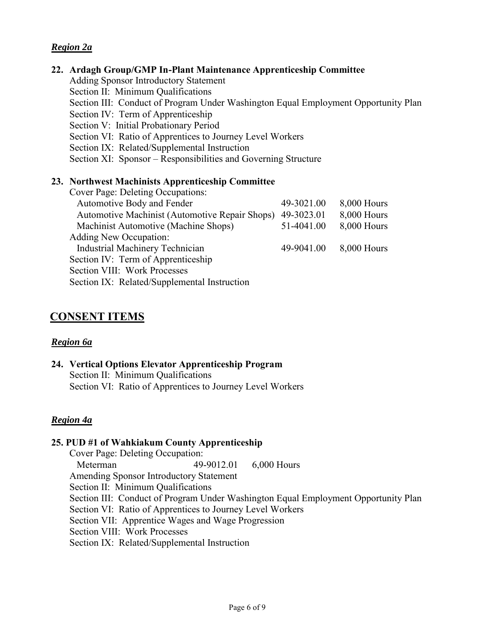#### *Region 2a*

#### **22. Ardagh Group/GMP In-Plant Maintenance Apprenticeship Committee**

- Adding Sponsor Introductory Statement
- Section II: Minimum Qualifications
- Section III: Conduct of Program Under Washington Equal Employment Opportunity Plan
- Section IV: Term of Apprenticeship
- Section V: Initial Probationary Period
- Section VI: Ratio of Apprentices to Journey Level Workers
- Section IX: Related/Supplemental Instruction
- Section XI: Sponsor Responsibilities and Governing Structure

#### **23. Northwest Machinists Apprenticeship Committee**

| <b>Cover Page: Deleting Occupations:</b>       |            |             |
|------------------------------------------------|------------|-------------|
| Automotive Body and Fender                     | 49-3021.00 | 8,000 Hours |
| Automotive Machinist (Automotive Repair Shops) | 49-3023.01 | 8,000 Hours |
| Machinist Automotive (Machine Shops)           | 51-4041.00 | 8,000 Hours |
| <b>Adding New Occupation:</b>                  |            |             |
| <b>Industrial Machinery Technician</b>         | 49-9041.00 | 8,000 Hours |
| Section IV: Term of Apprenticeship             |            |             |
| Section VIII: Work Processes                   |            |             |
| Section IX: Related/Supplemental Instruction   |            |             |

## **CONSENT ITEMS**

#### *Region 6a*

**24. Vertical Options Elevator Apprenticeship Program** Section II: Minimum Qualifications Section VI: Ratio of Apprentices to Journey Level Workers

#### *Region 4a*

#### **25. PUD #1 of Wahkiakum County Apprenticeship**

Cover Page: Deleting Occupation: Meterman 49-9012.01 6,000 Hours Amending Sponsor Introductory Statement Section II: Minimum Qualifications Section III: Conduct of Program Under Washington Equal Employment Opportunity Plan Section VI: Ratio of Apprentices to Journey Level Workers Section VII: Apprentice Wages and Wage Progression Section VIII: Work Processes Section IX: Related/Supplemental Instruction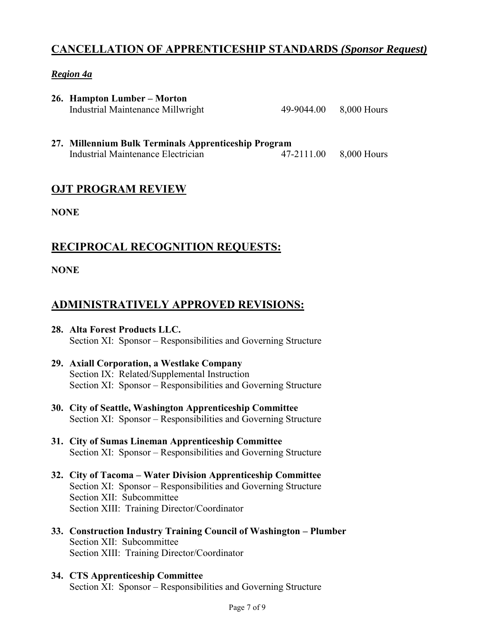# **CANCELLATION OF APPRENTICESHIP STANDARDS** *(Sponsor Request)*

# *Region 4a*

| 26. Hampton Lumber – Morton       |                        |
|-----------------------------------|------------------------|
| Industrial Maintenance Millwright | 49-9044.00 8,000 Hours |

**27. Millennium Bulk Terminals Apprenticeship Program** Industrial Maintenance Electrician 47-2111.00 8,000 Hours

# **OJT PROGRAM REVIEW**

**NONE**

# **RECIPROCAL RECOGNITION REQUESTS:**

# **NONE**

# **ADMINISTRATIVELY APPROVED REVISIONS:**

- **28. Alta Forest Products LLC.** Section XI: Sponsor – Responsibilities and Governing Structure
- **29. Axiall Corporation, a Westlake Company** Section IX: Related/Supplemental Instruction Section XI: Sponsor – Responsibilities and Governing Structure
- **30. City of Seattle, Washington Apprenticeship Committee** Section XI: Sponsor – Responsibilities and Governing Structure
- **31. City of Sumas Lineman Apprenticeship Committee** Section XI: Sponsor – Responsibilities and Governing Structure
- **32. City of Tacoma – Water Division Apprenticeship Committee** Section XI: Sponsor – Responsibilities and Governing Structure Section XII: Subcommittee Section XIII: Training Director/Coordinator
- **33. Construction Industry Training Council of Washington – Plumber** Section XII: Subcommittee Section XIII: Training Director/Coordinator
- **34. CTS Apprenticeship Committee** Section XI: Sponsor – Responsibilities and Governing Structure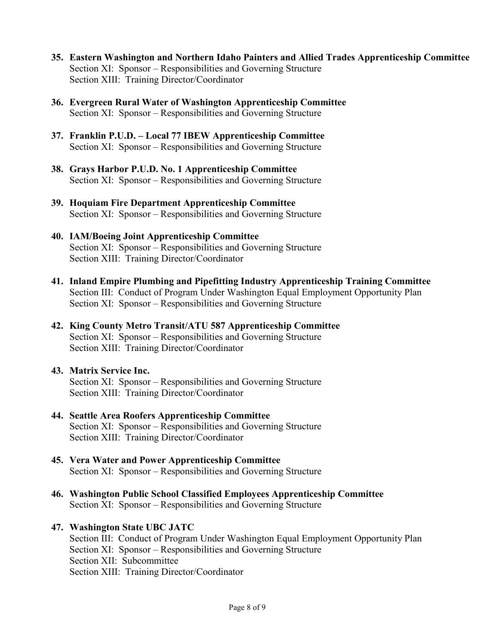- **35. Eastern Washington and Northern Idaho Painters and Allied Trades Apprenticeship Committee** Section XI: Sponsor – Responsibilities and Governing Structure Section XIII: Training Director/Coordinator
- **36. Evergreen Rural Water of Washington Apprenticeship Committee** Section XI: Sponsor – Responsibilities and Governing Structure
- **37. Franklin P.U.D. – Local 77 IBEW Apprenticeship Committee** Section XI: Sponsor – Responsibilities and Governing Structure
- **38. Grays Harbor P.U.D. No. 1 Apprenticeship Committee** Section XI: Sponsor – Responsibilities and Governing Structure
- **39. Hoquiam Fire Department Apprenticeship Committee** Section XI: Sponsor – Responsibilities and Governing Structure
- **40. IAM/Boeing Joint Apprenticeship Committee** Section XI: Sponsor – Responsibilities and Governing Structure Section XIII: Training Director/Coordinator
- **41. Inland Empire Plumbing and Pipefitting Industry Apprenticeship Training Committee** Section III: Conduct of Program Under Washington Equal Employment Opportunity Plan Section XI: Sponsor – Responsibilities and Governing Structure
- **42. King County Metro Transit/ATU 587 Apprenticeship Committee** Section XI: Sponsor – Responsibilities and Governing Structure Section XIII: Training Director/Coordinator

#### **43. Matrix Service Inc.** Section XI: Sponsor – Responsibilities and Governing Structure Section XIII: Training Director/Coordinator

- **44. Seattle Area Roofers Apprenticeship Committee** Section XI: Sponsor – Responsibilities and Governing Structure Section XIII: Training Director/Coordinator
- **45. Vera Water and Power Apprenticeship Committee** Section XI: Sponsor – Responsibilities and Governing Structure
- **46. Washington Public School Classified Employees Apprenticeship Committee** Section XI: Sponsor – Responsibilities and Governing Structure

#### **47. Washington State UBC JATC**

Section III: Conduct of Program Under Washington Equal Employment Opportunity Plan Section XI: Sponsor – Responsibilities and Governing Structure Section XII: Subcommittee Section XIII: Training Director/Coordinator